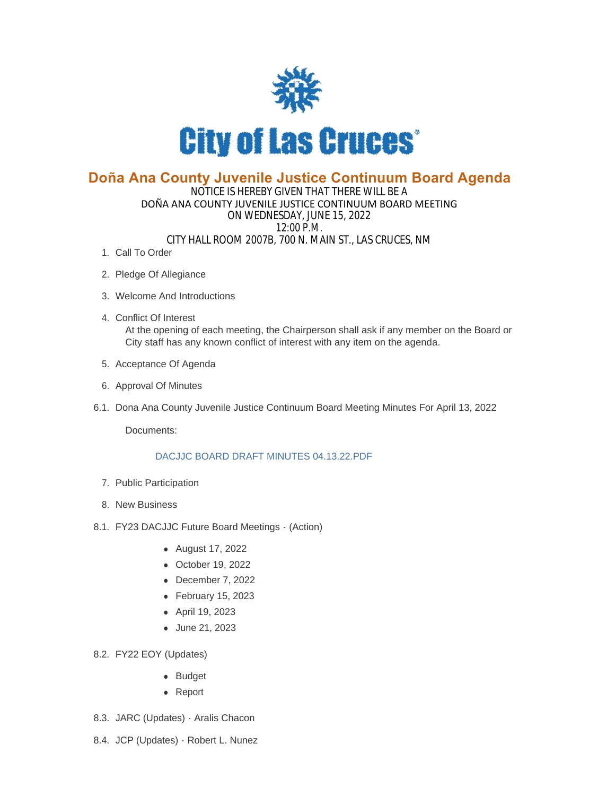

## **Doña Ana County Juvenile Justice Continuum Board Agenda**

## NOTICE IS HEREBY GIVEN THAT THERE WILL BE A DOÑA ANA COUNTY JUVENILE JUSTICE CONTINUUM BOARD MEETING ON WEDNESDAY, JUNE 15, 2022 12:00 P.M. CITY HALL ROOM 2007B, 700 N. MAIN ST., LAS CRUCES, NM

- 1. Call To Order
- 2. Pledge Of Allegiance
- Welcome And Introductions 3.
- Conflict Of Interest 4. At the opening of each meeting, the Chairperson shall ask if any member on the Board or City staff has any known conflict of interest with any item on the agenda.
- 5. Acceptance Of Agenda
- 6. Approval Of Minutes
- 6.1. Dona Ana County Juvenile Justice Continuum Board Meeting Minutes For April 13, 2022

Documents:

## [DACJJC BOARD DRAFT MINUTES 04.13.22.PDF](https://www.las-cruces.org/AgendaCenter/ViewFile/Item/9593?fileID=15584)

- 7. Public Participation
- 8. New Business
- 8.1. FY23 DACJJC Future Board Meetings (Action)
	- August 17, 2022
	- October 19, 2022
	- $\bullet$  December 7, 2022
	- $\bullet$  February 15, 2023
	- April 19, 2023
	- June 21, 2023
- FY22 EOY (Updates) 8.2.
	- Budget
	- Report
- 8.3. JARC (Updates) Aralis Chacon
- 8.4. JCP (Updates) Robert L. Nunez